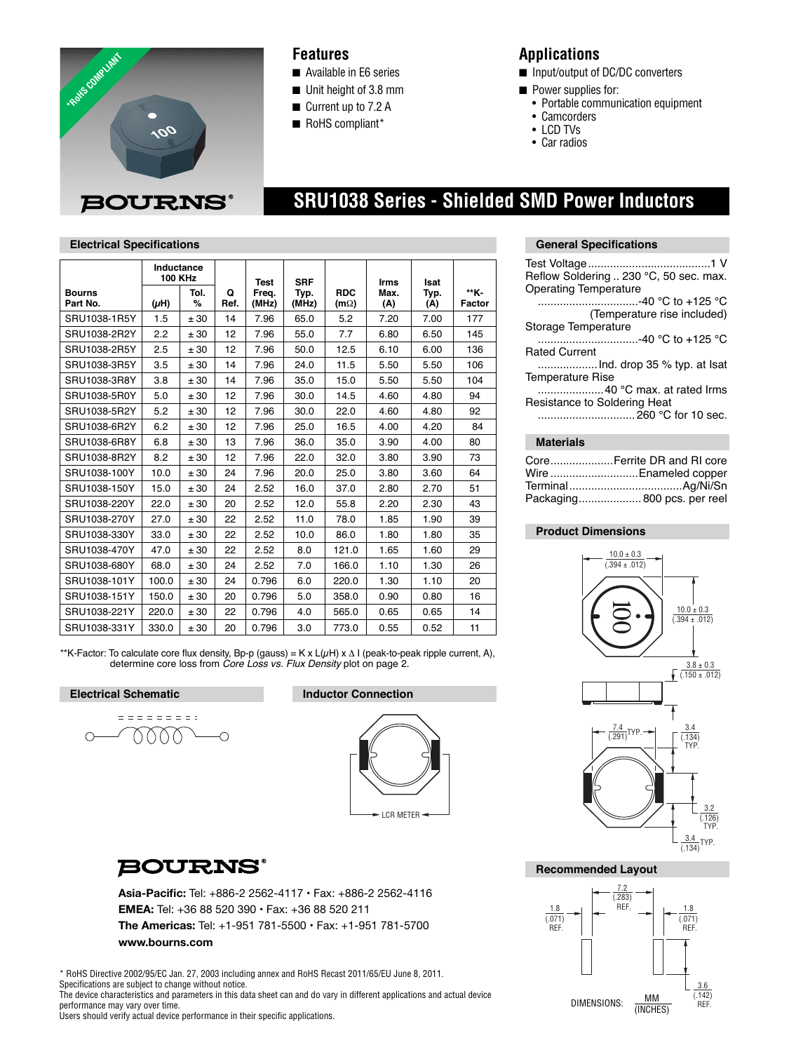

## **Features**

- Available in E6 series
- Unit height of 3.8 mm
- Current up to 7.2 A
- RoHS compliant\*

## **Applications**

- Input/output of DC/DC converters
- Power supplies for:
	- Portable communication equipment
	- Camcorders
	- LCD TVs

 **SRU1038 Series - Shielded SMD Power Inductors**

• Car radios

| <b>Electrical Specifications</b> |                              |           |           |                |               |                             |             |             |                |
|----------------------------------|------------------------------|-----------|-----------|----------------|---------------|-----------------------------|-------------|-------------|----------------|
|                                  | Inductance<br><b>100 KHz</b> |           |           | <b>Test</b>    | <b>SRF</b>    |                             | <b>Irms</b> | <b>Isat</b> |                |
| <b>Bourns</b><br>Part No.        | $(\mu H)$                    | Tol.<br>% | Q<br>Ref. | Freq.<br>(MHz) | Typ.<br>(MHz) | <b>RDC</b><br>(m $\Omega$ ) | Max.<br>(A) | Typ.<br>(A) | **K-<br>Factor |
| SRU1038-1R5Y                     | 1.5                          | ± 30      | 14        | 7.96           | 65.0          | 5.2                         | 7.20        | 7.00        | 177            |
| SRU1038-2R2Y                     | 2.2                          | ± 30      | 12        | 7.96           | 55.0          | 7.7                         | 6.80        | 6.50        | 145            |
| SRU1038-2R5Y                     | 2.5                          | ± 30      | 12        | 7.96           | 50.0          | 12.5                        | 6.10        | 6.00        | 136            |
| SRU1038-3R5Y                     | 3.5                          | ± 30      | 14        | 7.96           | 24.0          | 11.5                        | 5.50        | 5.50        | 106            |
| SRU1038-3R8Y                     | 3.8                          | ± 30      | 14        | 7.96           | 35.0          | 15.0                        | 5.50        | 5.50        | 104            |
| SRU1038-5R0Y                     | 5.0                          | ± 30      | 12        | 7.96           | 30.0          | 14.5                        | 4.60        | 4.80        | 94             |
| SRU1038-5R2Y                     | 5.2                          | ± 30      | 12        | 7.96           | 30.0          | 22.0                        | 4.60        | 4.80        | 92             |
| SRU1038-6R2Y                     | 6.2                          | ± 30      | 12        | 7.96           | 25.0          | 16.5                        | 4.00        | 4.20        | 84             |
| SRU1038-6R8Y                     | 6.8                          | ± 30      | 13        | 7.96           | 36.0          | 35.0                        | 3.90        | 4.00        | 80             |
| SRU1038-8R2Y                     | 8.2                          | ± 30      | 12        | 7.96           | 22.0          | 32.0                        | 3.80        | 3.90        | 73             |
| SRU1038-100Y                     | 10.0                         | ± 30      | 24        | 7.96           | 20.0          | 25.0                        | 3.80        | 3.60        | 64             |
| SRU1038-150Y                     | 15.0                         | ± 30      | 24        | 2.52           | 16.0          | 37.0                        | 2.80        | 2.70        | 51             |
| SRU1038-220Y                     | 22.0                         | ± 30      | 20        | 2.52           | 12.0          | 55.8                        | 2.20        | 2.30        | 43             |
| SRU1038-270Y                     | 27.0                         | ± 30      | 22        | 2.52           | 11.0          | 78.0                        | 1.85        | 1.90        | 39             |
| SRU1038-330Y                     | 33.0                         | ± 30      | 22        | 2.52           | 10.0          | 86.0                        | 1.80        | 1.80        | 35             |
| SRU1038-470Y                     | 47.0                         | ± 30      | 22        | 2.52           | 8.0           | 121.0                       | 1.65        | 1.60        | 29             |
| SRU1038-680Y                     | 68.0                         | ± 30      | 24        | 2.52           | 7.0           | 166.0                       | 1.10        | 1.30        | 26             |
| SRU1038-101Y                     | 100.0                        | ± 30      | 24        | 0.796          | 6.0           | 220.0                       | 1.30        | 1.10        | 20             |
| SRU1038-151Y                     | 150.0                        | ± 30      | 20        | 0.796          | 5.0           | 358.0                       | 0.90        | 0.80        | 16             |
| SRU1038-221Y                     | 220.0                        | ± 30      | 22        | 0.796          | 4.0           | 565.0                       | 0.65        | 0.65        | 14             |
| SRU1038-331Y                     | 330.0                        | ± 30      | 20        | 0.796          | 3.0           | 773.0                       | 0.55        | 0.52        | 11             |

\*\*K-Factor: To calculate core flux density, Bp-p (gauss) = K x L( $\mu$ H) x  $\Delta$  I (peak-to-peak ripple current, A), determine core loss from *Core Loss vs. Flux Density* plot on page 2.

#### **Electrical Schematic Inductor Connection**

$$
\begin{array}{c}\n \overline{1} \\
\overline{1} \\
\overline{1} \\
\overline{1} \\
\overline{1} \\
\overline{1} \\
\overline{1} \\
\overline{1} \\
\overline{1} \\
\overline{1} \\
\overline{1} \\
\overline{1} \\
\overline{1} \\
\overline{1} \\
\overline{1} \\
\overline{1} \\
\overline{1} \\
\overline{1} \\
\overline{1} \\
\overline{1} \\
\overline{1} \\
\overline{1} \\
\overline{1} \\
\overline{1} \\
\overline{1} \\
\overline{1} \\
\overline{1} \\
\overline{1} \\
\overline{1} \\
\overline{1} \\
\overline{1} \\
\overline{1} \\
\overline{1} \\
\overline{1} \\
\overline{1} \\
\overline{1} \\
\overline{1} \\
\overline{1} \\
\overline{1} \\
\overline{1} \\
\overline{1} \\
\overline{1} \\
\overline{1} \\
\overline{1} \\
\overline{1} \\
\overline{1} \\
\overline{1} \\
\overline{1} \\
\overline{1} \\
\overline{1} \\
\overline{1} \\
\overline{1} \\
\overline{1} \\
\overline{1} \\
\overline{1} \\
\overline{1} \\
\overline{1} \\
\overline{1} \\
\overline{1} \\
\overline{1} \\
\overline{1} \\
\overline{1} \\
\overline{1} \\
\overline{1} \\
\overline{1} \\
\overline{1} \\
\overline{1} \\
\overline{1} \\
\overline{1} \\
\overline{1} \\
\overline{1} \\
\overline{1} \\
\overline{1} \\
\overline{1} \\
\overline{1} \\
\overline{1} \\
\overline{1} \\
\overline{1} \\
\overline{1} \\
\overline{1} \\
\overline{1} \\
\overline{1} \\
\overline{1} \\
\overline{1} \\
\overline{1} \\
\overline{1} \\
\overline{1} \\
\overline{1} \\
\overline{1} \\
\overline{1} \\
\overline{1} \\
\overline{1} \\
\overline{1} \\
\overline{1} \\
\overline{1} \\
\overline{1} \\
\overline{1} \\
\overline{1} \\
\overline{1} \\
\overline{1} \\
\overline{1} \\
\overline{1} \\
\overline{1} \\
\overline{1} \\
\overline{1} \\
\overline{1} \\
\overline{1} \\
\overline
$$



## **BOURNS®**

Asia-Pacific: Tel: +886-2 2562-4117 · Fax: +886-2 2562-4116 **EMEA:** Tel: +36 88 520 390 • Fax: +36 88 520 211 **The Americas:** Tel: +1-951 781-5500 • Fax: +1-951 781-5700 **www.bourns.com**

\* RoHS Directive 2002/95/EC Jan. 27, 2003 including annex and RoHS Recast 2011/65/EU June 8, 2011. Specifications are subject to change without notice.

The device characteristics and parameters in this data sheet can and do vary in different applications and actual device performance may vary over time.

Users should verify actual device performance in their specific applications.

# **General Specifications**

| Reflow Soldering  230 °C, 50 sec. max.<br><b>Operating Temperature</b> |
|------------------------------------------------------------------------|
| ………………………-40 °C to +125 °C<br>(Temperature rise included)              |
| Storage Temperature<br>-40 °C to +125 °C<br><b>Rated Current</b>       |
| <b>Temperature Rise</b>                                                |
| 40 °C max. at rated Irms<br>Resistance to Soldering Heat               |
|                                                                        |
| Materials                                                              |

| CoreFerrite DR and RI core  |
|-----------------------------|
| Wire Enameled copper        |
|                             |
| Packaging 800 pcs. per reel |

### **Product Dimensions**



**Recommended Layout**